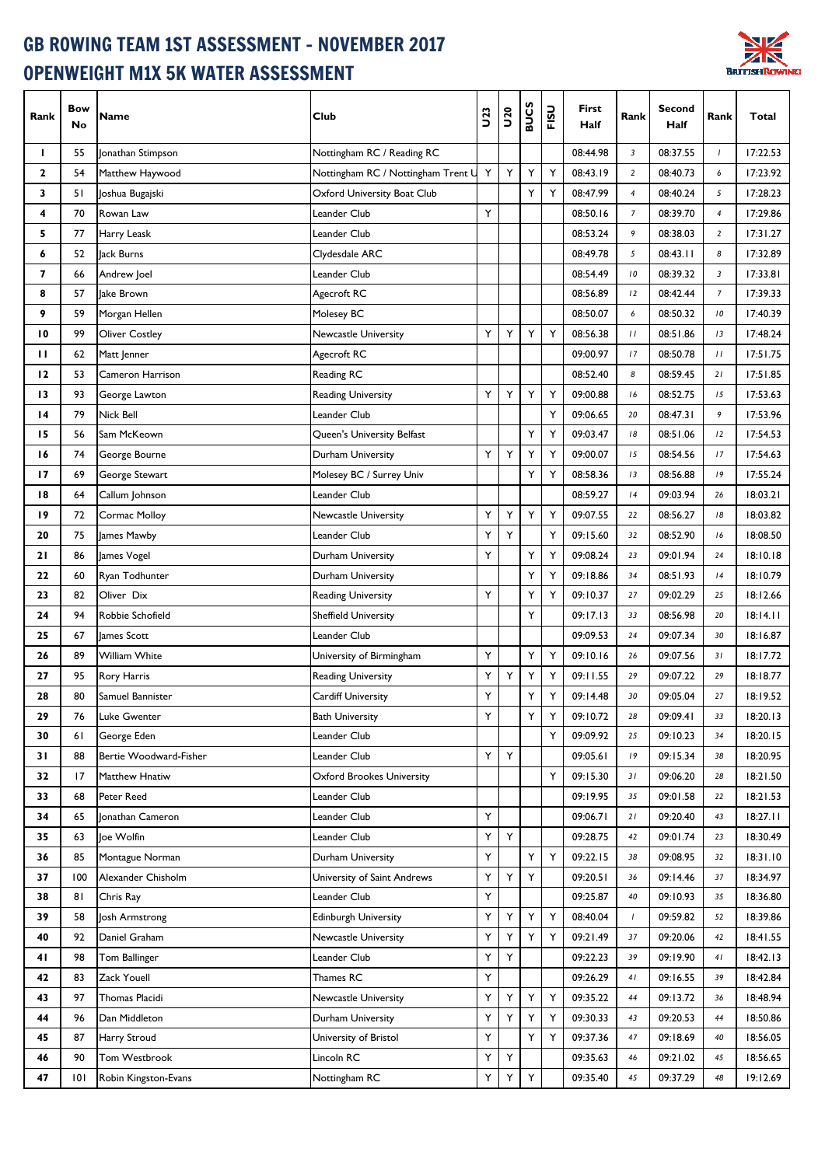## GB ROWING TEAM 1ST ASSESSMENT - NOVEMBER 2017 OPENWEIGHT M1X 5K WATER ASSESSMENT



| Rank         | <b>Bow</b><br>No | <b>Name</b>            | Club                               | <b>U23</b> | <b>DZD</b> | <b>BUCS</b> | FISU | First<br>Half | Rank           | Second<br><b>Half</b> | Rank           | Total    |
|--------------|------------------|------------------------|------------------------------------|------------|------------|-------------|------|---------------|----------------|-----------------------|----------------|----------|
| L            | 55               | Jonathan Stimpson      | Nottingham RC / Reading RC         |            |            |             |      | 08:44.98      | 3              | 08:37.55              | $\mathbf{I}$   | 17:22.53 |
| $\mathbf{2}$ | 54               | Matthew Haywood        | Nottingham RC / Nottingham Trent U | Υ          | Y          | Υ           | Υ    | 08:43.19      | $\overline{2}$ | 08:40.73              | 6              | 17:23.92 |
| 3            | 51               | Joshua Bugajski        | Oxford University Boat Club        |            |            | Υ           | Υ    | 08:47.99      | $\overline{4}$ | 08:40.24              | 5              | 17:28.23 |
| 4            | 70               | Rowan Law              | Leander Club                       | Υ          |            |             |      | 08:50.16      | $\overline{7}$ | 08:39.70              | $\overline{4}$ | 17:29.86 |
| 5            | 77               | Harry Leask            | Leander Club                       |            |            |             |      | 08:53.24      | 9              | 08:38.03              | $\overline{2}$ | 17:31.27 |
| 6            | 52               | Jack Burns             | Clydesdale ARC                     |            |            |             |      | 08:49.78      | 5              | 08:43.11              | 8              | 17:32.89 |
| 7            | 66               | Andrew Joel            | Leander Club                       |            |            |             |      | 08:54.49      | 10             | 08:39.32              | 3              | 17:33.81 |
| 8            | 57               | lake Brown             | Agecroft RC                        |            |            |             |      | 08:56.89      | 12             | 08:42.44              | $\overline{7}$ | 17:39.33 |
| 9            | 59               | Morgan Hellen          | Molesey BC                         |            |            |             |      | 08:50.07      | 6              | 08:50.32              | 10             | 17:40.39 |
| 10           | 99               | <b>Oliver Costley</b>  | Newcastle University               | Υ          | Y          | Υ           | Υ    | 08:56.38      | $\frac{1}{2}$  | 08:51.86              | 13             | 17:48.24 |
| п            | 62               | Matt Jenner            | Agecroft RC                        |            |            |             |      | 09:00.97      | 17             | 08:50.78              | $\frac{1}{2}$  | 17:51.75 |
| 12           | 53               | Cameron Harrison       | Reading RC                         |            |            |             |      | 08:52.40      | 8              | 08:59.45              | $21$           | 17:51.85 |
| 13           | 93               | George Lawton          | Reading University                 | Υ          | Y          | Y           | Y    | 09:00.88      | 16             | 08:52.75              | 15             | 17:53.63 |
| 14           | 79               | <b>Nick Bell</b>       | Leander Club                       |            |            |             | Υ    | 09:06.65      | 20             | 08:47.31              | 9              | 17:53.96 |
| 15           | 56               | Sam McKeown            | Queen's University Belfast         |            |            | Υ           | Υ    | 09:03.47      | 18             | 08:51.06              | 12             | 17:54.53 |
| 16           | 74               | George Bourne          | Durham University                  | Υ          | Υ          | Y           | Υ    | 09:00.07      | 15             | 08:54.56              | 17             | 17:54.63 |
| 17           | 69               | George Stewart         | Molesey BC / Surrey Univ           |            |            | Y           | Υ    | 08:58.36      | 13             | 08:56.88              | 19             | 17:55.24 |
| 18           | 64               | Callum Johnson         | Leander Club                       |            |            |             |      | 08:59.27      | 4              | 09:03.94              | 26             | 18:03.21 |
| 19           | 72               | <b>Cormac Molloy</b>   | Newcastle University               | Υ          | Υ          | Υ           | Υ    | 09:07.55      | 22             | 08:56.27              | 18             | 18:03.82 |
| 20           | 75               | James Mawby            | Leander Club                       | Υ          | Υ          |             | Υ    | 09:15.60      | 32             | 08:52.90              | 16             | 18:08.50 |
| 21           | 86               | James Vogel            | Durham University                  | Υ          |            | Υ           | Υ    | 09:08.24      | 23             | 09:01.94              | 24             | 18:10.18 |
| 22           | 60               | Ryan Todhunter         | Durham University                  |            |            | Υ           | Υ    | 09:18.86      | 34             | 08:51.93              | 4              | 18:10.79 |
| 23           | 82               | Oliver Dix             | <b>Reading University</b>          | Υ          |            | Y           | Υ    | 09:10.37      | 27             | 09:02.29              | 25             | 18:12.66 |
| 24           | 94               | Robbie Schofield       | <b>Sheffield University</b>        |            |            | Υ           |      | 09:17.13      | 33             | 08:56.98              | 20             | 18:14.11 |
| 25           | 67               | James Scott            | Leander Club                       |            |            |             |      | 09:09.53      | 24             | 09:07.34              | 30             | 18:16.87 |
| 26           | 89               | <b>William White</b>   | University of Birmingham           | Υ          |            | Υ           | Υ    | 09:10.16      | 26             | 09:07.56              | 31             | 18:17.72 |
| 27           | 95               | Rory Harris            | <b>Reading University</b>          | Υ          | Υ          | Y           | Υ    | 09:11.55      | 29             | 09:07.22              | 29             | 18:18.77 |
| 28           | 80               | Samuel Bannister       | Cardiff University                 | Υ          |            | Υ           | Υ    | 09:14.48      | 30             | 09:05.04              | 27             | 18:19.52 |
| 29           | 76               | Luke Gwenter           | <b>Bath University</b>             | Y          |            |             | Υ    | 09:10.72      | 28             | 09:09.41              | 33             | 18:20.13 |
| 30           | 61               | George Eden            | Leander Club                       |            |            |             | Y    | 09:09.92      | 25             | 09:10.23              | 34             | 18:20.15 |
| 31           | 88               | Bertie Woodward-Fisher | Leander Club                       | Y          | Y          |             |      | 09:05.61      | 19             | 09:15.34              | 38             | 18:20.95 |
| 32           | 17               | Matthew Hnatiw         | <b>Oxford Brookes University</b>   |            |            |             | Y    | 09:15.30      | 31             | 09:06.20              | 28             | 18:21.50 |
| 33           | 68               | Peter Reed             | Leander Club                       |            |            |             |      | 09:19.95      | 35             | 09:01.58              | 22             | 18:21.53 |
| 34           | 65               | Jonathan Cameron       | Leander Club                       | Υ          |            |             |      | 09:06.71      | 21             | 09:20.40              | 43             | 18:27.11 |
| 35           | 63               | Joe Wolfin             | Leander Club                       | Υ          | Υ          |             |      | 09:28.75      | 42             | 09:01.74              | 23             | 18:30.49 |
| 36           | 85               | Montague Norman        | Durham University                  | Υ          |            | Υ           | Υ    | 09:22.15      | 38             | 09:08.95              | 32             | 18:31.10 |
| 37           | 100              | Alexander Chisholm     | University of Saint Andrews        | Υ          | Υ          | Υ           |      | 09:20.51      | 36             | 09:14.46              | 37             | 18:34.97 |
| 38           | 81               | Chris Ray              | Leander Club                       | Y          |            |             |      | 09:25.87      | 40             | 09:10.93              | 35             | 18:36.80 |
| 39           | 58               | Josh Armstrong         | Edinburgh University               | Υ          | Υ          | Υ           | Y    | 08:40.04      | $\mathbf{I}$   | 09:59.82              | 52             | 18:39.86 |
| 40           | 92               | Daniel Graham          | Newcastle University               | Υ          | Υ          | Υ           | Υ    | 09:21.49      | 37             | 09:20.06              | 42             | 18:41.55 |
| 41           | 98               | Tom Ballinger          | Leander Club                       | Υ          | Υ          |             |      | 09:22.23      | 39             | 09:19.90              | 41             | 18:42.13 |
| 42           | 83               | Zack Youell            | Thames RC                          | Υ          |            |             |      | 09:26.29      | 41             | 09:16.55              | 39             | 18:42.84 |
| 43           | 97               | Thomas Placidi         | Newcastle University               | Υ          | Υ          | Υ           | Υ    | 09:35.22      | 44             | 09:13.72              | 36             | 18:48.94 |
| 44           | 96               | Dan Middleton          | Durham University                  | Υ          | Υ          | Y           | Υ    | 09:30.33      | 43             | 09:20.53              | 44             | 18:50.86 |
| 45           | 87               | <b>Harry Stroud</b>    | University of Bristol              | Υ          |            | Υ           | Υ    | 09:37.36      | 47             | 09:18.69              | 40             | 18:56.05 |
| 46           | 90               | Tom Westbrook          | Lincoln RC                         | Υ          | Υ          |             |      | 09:35.63      | 46             | 09:21.02              | 45             | 18:56.65 |
| 47           | 0                | Robin Kingston-Evans   | Nottingham RC                      | Υ          | Υ          | Υ           |      | 09:35.40      | 45             | 09:37.29              | 48             | 19:12.69 |